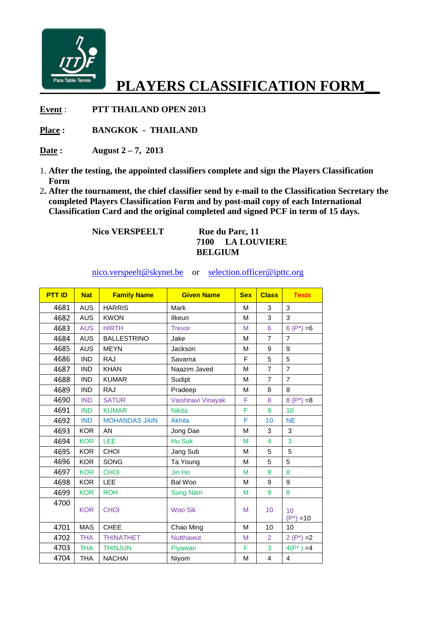

## **PLAYERS CLASSIFICATION FORM\_\_**

**Event** : **PTT THAILAND OPEN 2013**

Place : **BANGKOK - THAILAND** 

**Date : August 2 – 7, 2013**

- 1. **After the testing, the appointed classifiers complete and sign the Players Classification Form**
- 2**. After the tournament, the chief classifier classifier send by e-mail to the Classification Secretary the completed Players Classification Form and by post post-mail copy of each International Classification Card and the original completed and signed PCF in term of 15 days** mail to the Classification Secret<br> **mail copy of each International**<br>
signed PCF in term of 15 days.

 **Nico VERSPEELT** 

**Rue du Parc, 11 7100 LA LOUVIERE BELGIUM** 

nico.verspeelt@skynet.be or <u>selection.officer@ipttc.org</u>

| <b>PTT ID</b> | <b>Nat</b> | <b>Family Name</b>   | <b>Given Name</b> | <b>Sex</b> | <b>Class</b>    | <b>Tests</b>       |
|---------------|------------|----------------------|-------------------|------------|-----------------|--------------------|
| 4681          | <b>AUS</b> | <b>HARRIS</b>        | Mark              | M          | 3               | 3                  |
| 4682          | <b>AUS</b> | <b>KWON</b>          | Ilkeun            | M          | 3               | 3                  |
| 4683          | <b>AUS</b> | <b>HIRTH</b>         | <b>Trevor</b>     | M          | 6               | $6(P^*)=6$         |
| 4684          | <b>AUS</b> | <b>BALLESTRINO</b>   | Jake              | М          | $\overline{7}$  | $\overline{7}$     |
| 4685          | <b>AUS</b> | <b>MEYN</b>          | Jackson           | M          | 9               | 9                  |
| 4686          | <b>IND</b> | <b>RAJ</b>           | Savarna           | F          | 5               | 5                  |
| 4687          | <b>IND</b> | <b>KHAN</b>          | Naazim Javed      | M          | $\overline{7}$  | $\overline{7}$     |
| 4688          | <b>IND</b> | <b>KUMAR</b>         | Sudipt            | M          | $\overline{7}$  | $\overline{7}$     |
| 4689          | <b>IND</b> | <b>RAJ</b>           | Pradeep           | M          | 8               | 8                  |
| 4690          | <b>IND</b> | <b>SATUR</b>         | Vaishnavi Vinayak | F          | 8               | $8(P^*)=8$         |
| 4691          | <b>IND</b> | <b>KUMAR</b>         | <b>Nikita</b>     | F          | 9               | 10                 |
| 4692          | <b>IND</b> | <b>MOHANDAS JAIN</b> | Akhila            | F          | 10              | <b>NE</b>          |
| 4693          | <b>KOR</b> | AN                   | Jong Dae          | M          | 3               | 3                  |
| 4694          | <b>KOR</b> | LEE                  | Hu Suk            | M          | $\overline{4}$  | 3                  |
| 4695          | <b>KOR</b> | CHOI                 | Jang Sub          | M          | 5               | 5                  |
| 4696          | <b>KOR</b> | <b>SONG</b>          | Ta Young          | M          | 5               | 5                  |
| 4697          | <b>KOR</b> | <b>CHOI</b>          | Jin Ho            | M          | 9               | 8                  |
| 4698          | <b>KOR</b> | LEE                  | Bal Woo           | M          | 9               | 9                  |
| 4699          | <b>KOR</b> | <b>ROH</b>           | <b>Sung Nam</b>   | M          | 9               | 8                  |
| 4700          | <b>KOR</b> | <b>CHOI</b>          | <b>Woo Sik</b>    | M          | 10 <sup>1</sup> | 10<br>$(P^*) = 10$ |
| 4701          | <b>MAS</b> | <b>CHEE</b>          | Chao Ming         | M          | 10              | 10                 |
| 4702          | <b>THA</b> | <b>THINATHET</b>     | <b>Nutthawut</b>  | M          | 2               | $2(P^*)=2$         |
| 4703          | <b>THA</b> | <b>THINJUN</b>       | Piyawan           | F          | 3               | $4(P^*)=4$         |
| 4704          | <b>THA</b> | <b>NACHAI</b>        | Niyom             | M          | $\overline{4}$  | 4                  |